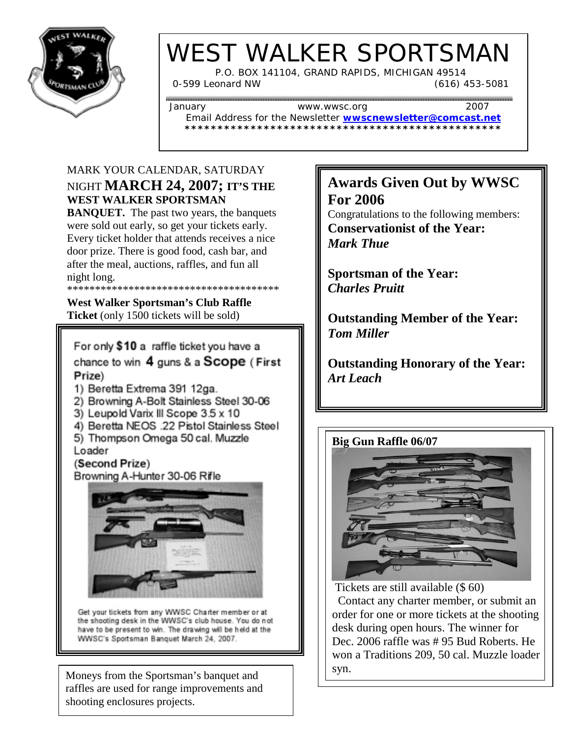

# WEST WALKER SPORTSMAN

 P.O. BOX 141104, GRAND RAPIDS, MICHIGAN 49514 0-599 Leonard NW (616) 453-5081

Email Address for the Newsletter **wwscnewsletter@comcast.net \*\*\*\*\*\*\*\*\*\*\*\*\*\*\*\*\*\*\*\*\*\*\*\*\*\*\*\*\*\*\*\*\*\*\*\*\*\*\*\*\*\*\*\*\*\*\*\***

January www.wwsc.org 2007

MARK YOUR CALENDAR, SATURDAY NIGHT **MARCH 24, 2007; IT'S THE WEST WALKER SPORTSMAN**

**BANQUET.** The past two years, the banquets were sold out early, so get your tickets early. Every ticket holder that attends receives a nice door prize. There is good food, cash bar, and after the meal, auctions, raffles, and fun all night long. \*\*\*\*\*\*\*\*\*\*\*\*\*\*\*\*\*\*\*\*\*\*\*\*\*\*\*\*\*\*\*\*\*\*\*\*\*\*

**West Walker Sportsman's Club Raffle Ticket** (only 1500 tickets will be sold)

For only \$10 a raffle ticket you have a chance to win 4 guns & a Scope (First Prize)

1) Beretta Extrema 391 12ga.

2) Browning A-Bolt Stainless Steel 30-06

3) Leupold Varix III Scope 3.5 x 10

- 4) Beretta NEOS .22 Pistol Stainless Steel
- 5) Thompson Omega 50 cal. Muzzle Loader

(Second Prize) Browning A-Hunter 30-06 Rifle



Get your tickets from any WWSC Charter member or at the shooting desk in the WWSC's club house. You do not have to be present to win. The drawing will be held at the WWSC's Sportsman Banquet March 24, 2007.

Moneys from the Sportsman's banquet and raffles are used for range improvements and shooting enclosures projects.

## **Awards Given Out by WWSC For 2006**

Congratulations to the following members: **Conservationist of the Year:** *Mark Thue*

**Sportsman of the Year:** *Charles Pruitt*

**Outstanding Member of the Year:** *Tom Miller*

**Outstanding Honorary of the Year:** *Art Leach*



Tickets are still available (\$ 60)

 Contact any charter member, or submit an order for one or more tickets at the shooting desk during open hours. The winner for Dec. 2006 raffle was # 95 Bud Roberts. He won a Traditions 209, 50 cal. Muzzle loader syn.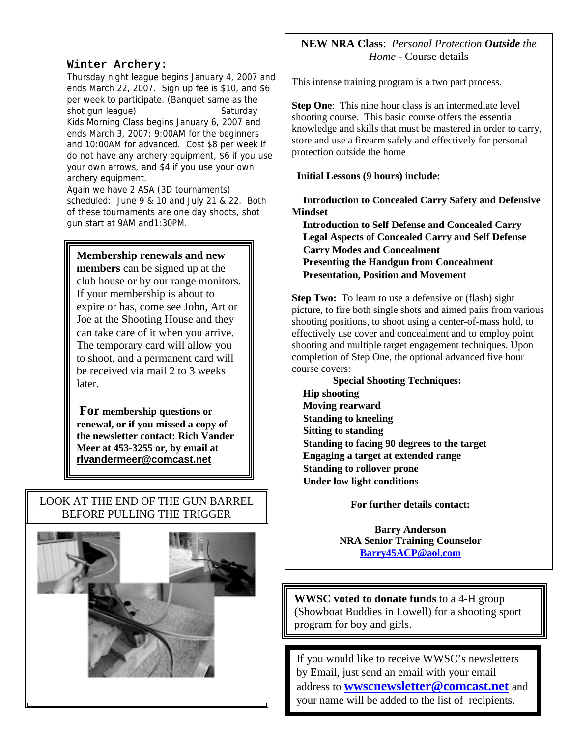#### **Winter Archery:**

Thursday night league begins January 4, 2007 and ends March 22, 2007. Sign up fee is \$10, and \$6 per week to participate. (Banquet same as the shot gun league) Saturday Kids Morning Class begins January 6, 2007 and ends March 3, 2007: 9:00AM for the beginners and 10:00AM for advanced. Cost \$8 per week if do not have any archery equipment, \$6 if you use your own arrows, and \$4 if you use your own archery equipment.

Again we have 2 ASA (3D tournaments) scheduled: June 9 & 10 and July 21 & 22. Both of these tournaments are one day shoots, shot gun start at 9AM and1:30PM.

### **Membership renewals and new**

**members** can be signed up at the club house or by our range monitors. If your membership is about to expire or has, come see John, Art or Joe at the Shooting House and they can take care of it when you arrive. The temporary card will allow you to shoot, and a permanent card will be received via mail 2 to 3 weeks later.

**For membership questions or renewal, or if you missed a copy of the newsletter contact: Rich Vander Meer at 453-3255 or, by email at rlvandermeer@comcast.net**

## LOOK AT THE END OF THE GUN BARREL BEFORE PULLING THE TRIGGER



## **NEW NRA Class**: *Personal Protection Outside the Home* - Course details

This intense training program is a two part process.

**Step One:** This nine hour class is an intermediate level shooting course. This basic course offers the essential knowledge and skills that must be mastered in order to carry, store and use a firearm safely and effectively for personal protection outside the home

#### **Initial Lessons (9 hours) include:**

 **Introduction to Concealed Carry Safety and Defensive Mindset**

 **Introduction to Self Defense and Concealed Carry Legal Aspects of Concealed Carry and Self Defense Carry Modes and Concealment Presenting the Handgun from Concealment Presentation, Position and Movement**

**Step Two:** To learn to use a defensive or (flash) sight picture, to fire both single shots and aimed pairs from various shooting positions, to shoot using a center-of-mass hold, to effectively use cover and concealment and to employ point shooting and multiple target engagement techniques. Upon completion of Step One, the optional advanced five hour course covers:

 **Special Shooting Techniques: Hip shooting Moving rearward Standing to kneeling Sitting to standing Standing to facing 90 degrees to the target Engaging a target at extended range Standing to rollover prone Under low light conditions**

**For further details contact:**

**Barry Anderson NRA Senior Training Counselor Barry45ACP@aol.com**

**WWSC voted to donate funds** to a 4-H group (Showboat Buddies in Lowell) for a shooting sport program for boy and girls.

If you would like to receive WWSC's newsletters by Email, just send an email with your email address to **wwscnewsletter@comcast.net** and your name will be added to the list of recipients.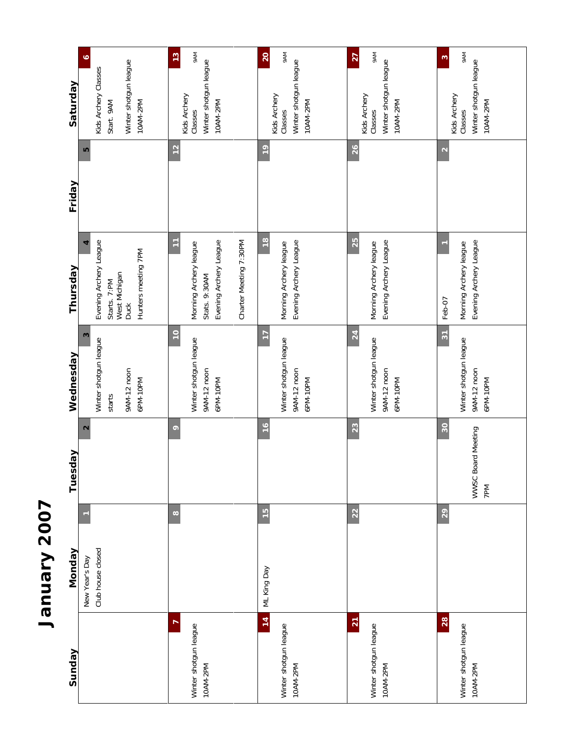

| Sunday                                               | Monday                              | lay<br>Tuesd                    | Wednesday                                                           | Thursday                                                                                         | Friday            | Saturday                                                                                |
|------------------------------------------------------|-------------------------------------|---------------------------------|---------------------------------------------------------------------|--------------------------------------------------------------------------------------------------|-------------------|-----------------------------------------------------------------------------------------|
|                                                      | Club house closed<br>New Year's Day | $\mathbf{\Omega}$               | 3<br>Winter shotgun league<br>9AM-12 noon<br>6PM-10PM<br>starts     | Evening Archery League<br>Hunters meeting 7PM<br>West Michigan<br>Starts. 7:PM<br><b>Duck</b>    | LO                | $\bullet$<br>Winter shotgun league<br>Kids Archery Classes<br>10AM-2PM<br>Start. 9AM    |
| r<br>Winter shotgun league<br>10AM-2PM               | $\infty$                            | $\circ$                         | $\overline{10}$<br>Winter shotgun league<br>9AM-12 noon<br>6PM-10PM | Ξ<br>Evening Archery League<br>Charter Meeting 7:30PM<br>Morning Archery league<br>Stats. 9:30AM | 12                | <b>MA6</b><br>13<br>Winter shotgun league<br>Kids Archery<br>10AM-2PM<br>Classes        |
| 14<br>Winter shotgun league<br>10AM-2PM              | $\frac{15}{2}$<br>ML King Day       | 16                              | $\overline{1}$<br>Winter shotgun league<br>9AM-12 noon<br>6PM-10PM  | $\frac{8}{1}$<br>Evening Archery League<br>Morning Archery league                                | $\frac{9}{2}$     | <b>MV6</b><br><b>20</b><br>Winter shotgun league<br>Kids Archery<br>10AM-2PM<br>Classes |
| $\overline{21}$<br>Winter shotgun league<br>10AM-2PM | 22                                  | 23                              | 24<br>Winter shotgun league<br>9AM-12 noon<br>6PM-10PM              | 25<br>Evening Archery League<br>Morning Archery league                                           | 26                | <b>MA6</b><br>27<br>Winter shotgun league<br>Kids Archery<br>10AM-2PM<br>Classes        |
| 28<br>Winter shotgun league<br>10AM-2PM              | 29                                  | 30<br>WWSC Board Meeting<br>7PM | $\frac{1}{2}$<br>Winter shotgun league<br>9AM-12 noon<br>6PM-10PM   | Evening Archery League<br>Morning Archery league<br>Feb-07                                       | $\mathbf{\Omega}$ | <b>MV6</b><br>S<br>Winter shotgun league<br>Kids Archery<br>10AM-2PM<br>Classes         |